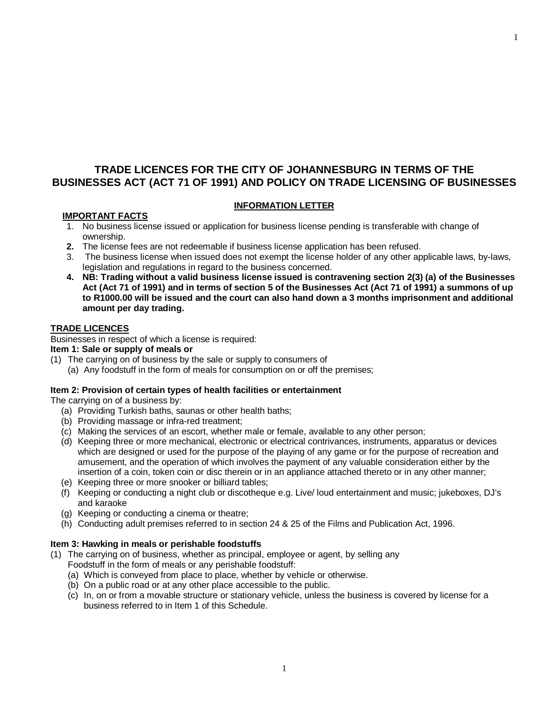# **TRADE LICENCES FOR THE CITY OF JOHANNESBURG IN TERMS OF THE BUSINESSES ACT (ACT 71 OF 1991) AND POLICY ON TRADE LICENSING OF BUSINESSES**

#### **INFORMATION LETTER**

### **IMPORTANT FACTS**

- 1. No business license issued or application for business license pending is transferable with change of ownership.
- **2.** The license fees are not redeemable if business license application has been refused.
- 3. The business license when issued does not exempt the license holder of any other applicable laws, by-laws, legislation and regulations in regard to the business concerned.
- **4. NB: Trading without a valid business license issued is contravening section 2(3) (a) of the Businesses**  Act (Act 71 of 1991) and in terms of section 5 of the Businesses Act (Act 71 of 1991) a summons of up **to R1000.00 will be issued and the court can also hand down a 3 months imprisonment and additional amount per day trading.**

#### **TRADE LICENCES**

Businesses in respect of which a license is required:

**Item 1: Sale or supply of meals or** 

- (1) The carrying on of business by the sale or supply to consumers of
	- (a) Any foodstuff in the form of meals for consumption on or off the premises;

#### **Item 2: Provision of certain types of health facilities or entertainment**

The carrying on of a business by:

- (a) Providing Turkish baths, saunas or other health baths;
- (b) Providing massage or infra-red treatment;
- (c) Making the services of an escort, whether male or female, available to any other person;
- (d) Keeping three or more mechanical, electronic or electrical contrivances, instruments, apparatus or devices which are designed or used for the purpose of the playing of any game or for the purpose of recreation and amusement, and the operation of which involves the payment of any valuable consideration either by the insertion of a coin, token coin or disc therein or in an appliance attached thereto or in any other manner;
- (e) Keeping three or more snooker or billiard tables;
- (f) Keeping or conducting a night club or discotheque e.g. Live/ loud entertainment and music; jukeboxes, DJ's and karaoke
- (g) Keeping or conducting a cinema or theatre;
- (h) Conducting adult premises referred to in section 24 & 25 of the Films and Publication Act, 1996.

#### **Item 3: Hawking in meals or perishable foodstuffs**

- (1) The carrying on of business, whether as principal, employee or agent, by selling any Foodstuff in the form of meals or any perishable foodstuff:
	- (a) Which is conveyed from place to place, whether by vehicle or otherwise.
	- (b) On a public road or at any other place accessible to the public.
	- (c) In, on or from a movable structure or stationary vehicle, unless the business is covered by license for a business referred to in Item 1 of this Schedule.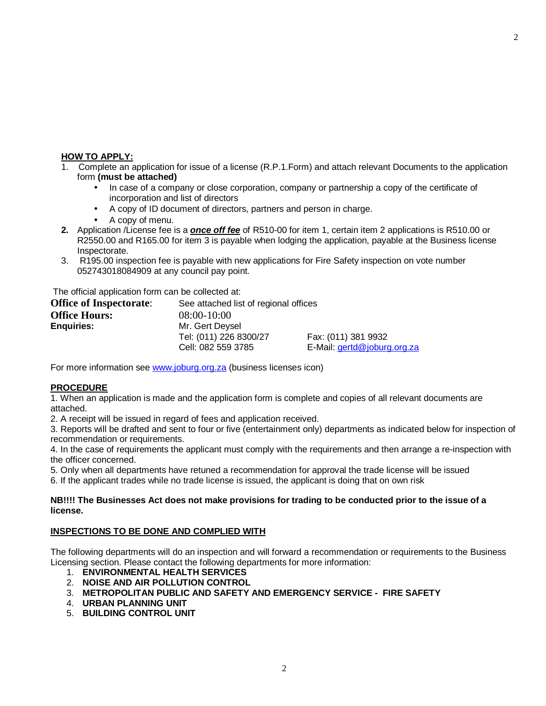## **HOW TO APPLY:**

- 1. Complete an application for issue of a license (R.P.1.Form) and attach relevant Documents to the application form **(must be attached)**
	- In case of a company or close corporation, company or partnership a copy of the certificate of incorporation and list of directors
	- A copy of ID document of directors, partners and person in charge.
	- A copy of menu.
- **2.** Application /License fee is a *once off fee* of R510-00 for item 1, certain item 2 applications is R510.00 or R2550.00 and R165.00 for item 3 is payable when lodging the application, payable at the Business license Inspectorate.
- 3. R195.00 inspection fee is payable with new applications for Fire Safety inspection on vote number 052743018084909 at any council pay point.

The official application form can be collected at:

| <b>Office of Inspectorate:</b> | See attached list of regional offices |                             |  |
|--------------------------------|---------------------------------------|-----------------------------|--|
| <b>Office Hours:</b>           | $08:00-10:00$                         |                             |  |
| <b>Enquiries:</b>              | Mr. Gert Deysel                       |                             |  |
|                                | Tel: (011) 226 8300/27                | Fax: (011) 381 9932         |  |
|                                | Cell: 082 559 3785                    | E-Mail: gertd@joburg.org.za |  |

For more information see [www.joburg.org.za](http://www.joburg.org.za) (business licenses icon)

## **PROCEDURE**

1. When an application is made and the application form is complete and copies of all relevant documents are attached.

2. A receipt will be issued in regard of fees and application received.

3. Reports will be drafted and sent to four or five (entertainment only) departments as indicated below for inspection of recommendation or requirements.

4. In the case of requirements the applicant must comply with the requirements and then arrange a re-inspection with the officer concerned.

5. Only when all departments have retuned a recommendation for approval the trade license will be issued

6. If the applicant trades while no trade license is issued, the applicant is doing that on own risk

#### **NB!!!! The Businesses Act does not make provisions for trading to be conducted prior to the issue of a license.**

## **INSPECTIONS TO BE DONE AND COMPLIED WITH**

The following departments will do an inspection and will forward a recommendation or requirements to the Business Licensing section. Please contact the following departments for more information:

- 1. **ENVIRONMENTAL HEALTH SERVICES**
- 2. **NOISE AND AIR POLLUTION CONTROL**
- 3. **METROPOLITAN PUBLIC AND SAFETY AND EMERGENCY SERVICE - FIRE SAFETY**
- 4. **URBAN PLANNING UNIT**
- 5. **BUILDING CONTROL UNIT**

2